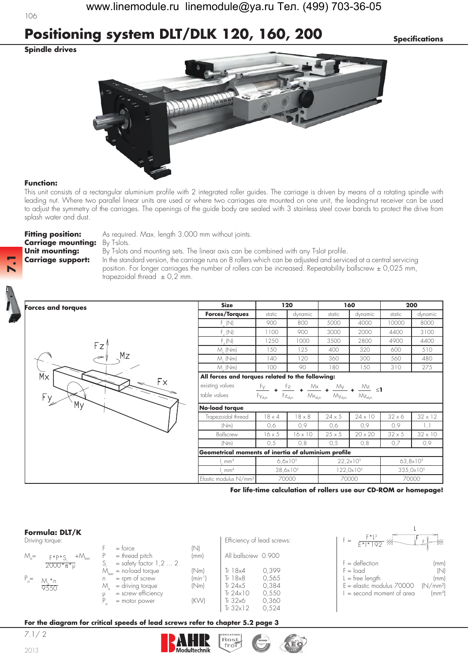# **Positioning system DLT/DLK 120, 160, 200** *Specifications*

**Spindle drives**

106



## **Function:**

This unit consists of a rectangular aluminium profile with 2 integrated roller guides. The carriage is driven by means of a rotating spindle with leading nut. Where two parallel linear units are used or where two carriages are mounted on one unit, the leading-nut receiver can be used to adjust the symmetry of the carriages. The openings of the guide body are sealed with 3 stainless steel cover bands to protect the drive from splash water and dust.

**Carriage mounting:** By T-slots.

**Forces and torques**

Fitting **position:** As required. Max. length 3.000 mm without joints.

**Unit mounting:** By T-slots and mounting sets. The linear axis can be combined with any T-slot profile. **Carriage support:** In the standard version, the carriage runs on 8 rollers which can be adjusted and serviced at a central servicing position. For longer carriages the number of rollers can be increased. Repeatability ballscrew ± 0,025 mm, trapezoidal thread  $\pm$  0,2 mm.



**7.1**



|                                                     | <b>Size</b><br>120<br>160 |                                                     |               |                                    |                       |                |  |
|-----------------------------------------------------|---------------------------|-----------------------------------------------------|---------------|------------------------------------|-----------------------|----------------|--|
| <b>Forces/Torques</b>                               | static                    | dynamic                                             | static        | dynamic                            | static                | dynamic        |  |
| $F_{y}$ (N)                                         | 900                       | 800                                                 | 5000          | 4000                               | 10000                 | 8000           |  |
| $F_{\nu}(N)$                                        | 1100                      | 900                                                 | 3000          | 2000                               | 4400                  | 3100           |  |
| F(N)                                                | 1250                      | 1000                                                | 3500          | 2800                               | 4900                  | 4400           |  |
| $M_{.}$ (Nm)                                        | 150                       | 125                                                 | 400           | 320                                | 600                   | 510            |  |
| $M_{\odot}$ (Nm)                                    | 140                       | 120                                                 | 360           | 300<br>560                         |                       | 480            |  |
| $M_{.}$ (Nm)                                        | 100                       | 90                                                  | 180           | 150                                | 310                   | 275            |  |
| All forces and torques related to the following:    |                           |                                                     |               |                                    |                       |                |  |
| existing values                                     | $\frac{F_y}{4}$           | $M \times$<br>$\frac{Fz}{\sqrt{2}}$ +               |               | $\frac{My}{4}$ + $\frac{Mz}{s}$ <1 |                       |                |  |
| table values                                        | Fy <sub>dyn</sub>         | $Fz_{dyn}$<br>$\mathsf{M}\mathsf{x}_{\mathsf{dyn}}$ | $My_{dyn}$    | $Mz_{dyn}$                         |                       |                |  |
| No-load torque                                      |                           |                                                     |               |                                    |                       |                |  |
| Trapezoidal thread                                  | $18 \times 4$             | $18 \times 8$                                       | $24 \times 5$ | $24 \times 10$                     | $32 \times 6$         | $32 \times 12$ |  |
| (Nm)                                                | 0,6                       | 0,9                                                 | 0,6           | 0,9                                | 0,9                   | 1,1            |  |
| Ballscrew                                           | $16 \times 5$             | $16 \times 10$                                      | $25 \times 5$ | $20 \times 20$                     | $32 \times 5$         | $32 \times 10$ |  |
| (Nm)                                                | 0,5                       | 0,8                                                 | 0,5           | 0,8                                | 0,7                   | 0,9            |  |
| Geometrical moments of inertia of aluminium profile |                           |                                                     |               |                                    |                       |                |  |
| mm <sup>4</sup>                                     |                           | $6.6x10^{5}$                                        |               | $22,2\times10^{5}$                 | $63,8\times10^{5}$    |                |  |
| mm <sup>4</sup>                                     |                           | $38,6 \times 10^{5}$                                |               | 122,0x10 <sup>5</sup>              | 335,0x10 <sup>5</sup> |                |  |
| Elastic modulus N/mm <sup>2</sup>                   |                           | 70000                                               |               | 70000                              | 70000                 |                |  |

## **For life-time calculation of rollers use our CD-ROM or homepage!**

 $\mathbf{I}$ 

## **Formula: DLT/K**

| Driving torque |  |
|----------------|--|
|----------------|--|

| Formula: DLI/K                         |                                        |              |                            |                                                       |
|----------------------------------------|----------------------------------------|--------------|----------------------------|-------------------------------------------------------|
| Driving torque:                        |                                        |              | Efficiency of lead screws: | $F^{\star}L^{3}$<br>- VI,<br>$=$<br>$F* * 92$         |
|                                        | $=$ torce                              | (N)          |                            |                                                       |
| $M =$<br>+M <sub>leer</sub><br>$F*P*S$ | $=$ thread pitch                       | (mm)         | All ballscrew 0.900        |                                                       |
| $2000*_{\pi}*_{\mu}$                   | $=$ safety factor 1,2 $\dots$ 2        |              |                            | $=$ deflection<br>(mm)                                |
|                                        | $=$ no-load torque<br>$M_{\text{her}}$ | (Nm)         | 0,399<br>Tr $18x4$         | (N)<br>$F = load$                                     |
| $P_{\alpha} =$                         | $=$ rpm of screw<br>n.                 | $(min^{-1})$ | Tr $18\times8$<br>0,565    | $=$ free length<br>(mm)                               |
| $\frac{M_{\bullet} * n}{9550}$         | M<br>$=$ driving torque                | (Nm)         | 0,384<br>Tr 24x5           | $E =$ elastic modulus $70000$<br>(N/mm <sup>2</sup> ) |
|                                        | $=$ screw efficiency                   |              | 0,550<br>Tr $24\times10$   | $\text{m}^4$<br>$=$ second moment of area             |
|                                        | $=$ motor power                        | (KW)         | 0,360<br>Tr $32x6$         |                                                       |
|                                        |                                        |              | Tr $32x12$<br>0.524        |                                                       |

## **For the diagram for critical speeds of lead screws refer to chapter 5.2 page 3**

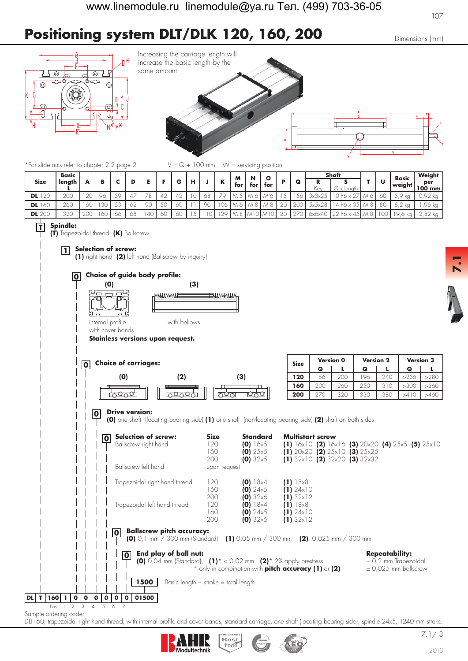# **Positioning system DLT/DLK 120, 160, 200** Dimensions (mm)





\*For slide nuts refer to chapter 2.2 page 2  $V = Q + 100$  mm  $W =$  servicing position

|               | <b>Basic</b> |        |          |                          |    |   |  |    | M   |     |     |              |                                  |               | Shaft                       |  | Basic      | Weight             |
|---------------|--------------|--------|----------|--------------------------|----|---|--|----|-----|-----|-----|--------------|----------------------------------|---------------|-----------------------------|--|------------|--------------------|
| <b>Size</b>   | lenath       |        |          |                          |    |   |  |    | for | tor | for |              | G                                | Kev           | Ø<br>lenath<br>$\checkmark$ |  | l weiaht l | per<br>100 mm      |
| 20<br>DL      | ാവവ<br>ZUU   | $\cap$ | 96       | $\overline{\phantom{a}}$ | 70 |   |  | 68 |     |     |     |              |                                  |               |                             |  | - KU       | .92 kg             |
| <b>DL</b> 160 | 260          |        | 2C<br>vv |                          | 90 | ٮ |  | or |     |     |     |              | 20 <sup>c</sup>                  | <b>SXSXZ8</b> |                             |  |            | 96 kg              |
| <b>DL</b> 200 | 320          | $\cap$ | 60       | 68                       | 40 |   |  |    |     |     |     | $\cap$<br>ZU | $\sim$ $\rightarrow$<br><u>.</u> |               |                             |  |            | $\Omega$<br>∴ŏ∠ kG |

#### **T Spindle:**

**1**

**(T)** Trapezoidal thread **(K)** Ballscrew

### **Selection of screw:**

**(1)** right hand **(2)** left hand (Ballscrew by inquiry)

# **0 Choice of guide body profile:**



internal profile with bellows

### with cover bands **Stainless versions upon request.**



### **0 Drive version:**

**(0)** one shaft (locating bearing side) **(1)** one shaft (non-locating bearing side) **(2)** shaft on both sides

|                                                      | Selection of screw:<br>0                                                                                                          | <b>Size</b>                              | <b>Standard</b>     | <b>Multistart screw</b>                                                                  |                                                                                               |
|------------------------------------------------------|-----------------------------------------------------------------------------------------------------------------------------------|------------------------------------------|---------------------|------------------------------------------------------------------------------------------|-----------------------------------------------------------------------------------------------|
|                                                      | Ballscrew right hand                                                                                                              | 120                                      | $(0)$ 16x5          |                                                                                          | (1) $16 \times 10$ (2) $16 \times 16$ (3) $20 \times 20$ (4) $25 \times 5$ (5) $25 \times 10$ |
|                                                      |                                                                                                                                   | 160                                      | (0) 25x5            | (1) $20 \times 20$ (2) $25 \times 10$ (3) $25 \times 25$                                 |                                                                                               |
|                                                      |                                                                                                                                   | 200                                      | (0) 32x5            | (1) 32x10 (2) 32x20 (3) 32x32                                                            |                                                                                               |
|                                                      | Ballscrew left hand                                                                                                               | upon request                             |                     |                                                                                          |                                                                                               |
|                                                      | Trapezoidal right hand thread                                                                                                     | 120                                      | (0) 18x4            | (1) 18x8                                                                                 |                                                                                               |
|                                                      |                                                                                                                                   | 160                                      | $(0)$ 24 $\times$ 5 | $(1)$ 24 $\times$ 10                                                                     |                                                                                               |
|                                                      |                                                                                                                                   | 200                                      | (0) 32x6            | $(1) 32 \times 12$                                                                       |                                                                                               |
|                                                      | Trapezoidal left hand thread                                                                                                      | 120                                      | (0) 18x4            | (1) 18x8                                                                                 |                                                                                               |
|                                                      |                                                                                                                                   | 160                                      | $(0)$ 24 $\times$ 5 | $(1)$ 24 $\times$ 10                                                                     |                                                                                               |
|                                                      |                                                                                                                                   | 200                                      | (0) 32x6            | $(1) 32 \times 12$                                                                       |                                                                                               |
|                                                      | <b>Ballscrew pitch accuracy:</b><br>Ο                                                                                             |                                          |                     | <b>(0)</b> 0,1 mm / 300 mm (Standard) (1) 0,05 mm / 300 mm ( <b>2)</b> 0,025 mm / 300 mm |                                                                                               |
|                                                      | End play of ball nut:<br>$\overline{0}$<br><b>(0)</b> 0,04 mm (Standard), <b>(1)</b> * < 0,02 mm, <b>(2)</b> * 2% apply prestress |                                          |                     | * only in combination with <b>pitch accuracy (1)</b> or (2)                              | <b>Repeatability:</b><br>$\pm$ 0,2 mm Trapezoidal<br>$\pm$ 0,025 mm Ballscrew                 |
|                                                      | 1500                                                                                                                              | Basic length $+$ stroke $=$ total length |                     |                                                                                          |                                                                                               |
| 60 l<br>$\mathbf{o}$<br>$\mathbf{o}$<br>$\mathbf{0}$ | 01500<br>$\mathbf{o}$<br>$\mathbf{o}$<br>$\mathbf{o}$                                                                             |                                          |                     |                                                                                          |                                                                                               |
| 3<br>Pos.<br>2                                       | 5<br>6                                                                                                                            |                                          |                     |                                                                                          |                                                                                               |

Sample ordering code:

**DL** T 160 1

DLT160, trapezoidal right hand thread, with internal profile and cover bands, standard carriage, one shaft (locating bearing side), spindle 24x5, 1240 mm stroke.



**7.1**